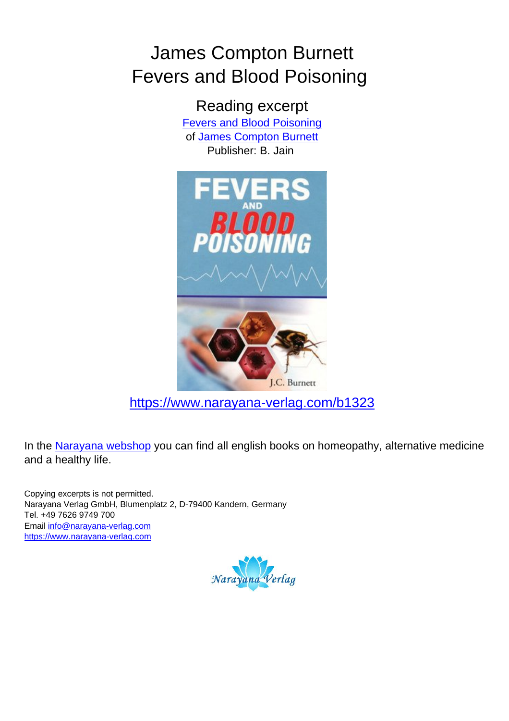## James Compton Burnett Fevers and Blood Poisoning

Reading excerpt [Fevers and Blood Poisoning](https://www.narayana-verlag.com/Fevers-and-Blood-Poisoning-James-Compton-Burnett/b1323/partner/leseprobe) of [James Compton Burnett](https://www.narayana-verlag.com/James-Compton-Burnett/a105/partner/leseprobe) Publisher: B. Jain



[https://www.narayana-verlag.com/b1323](https://www.narayana-verlag.com/Fevers-and-Blood-Poisoning-James-Compton-Burnett/b1323/partner/leseprobe)

In the [Narayana webshop](https://www.narayana-verlag.com/partner/leseprobe) you can find all english books on homeopathy, alternative medicine and a healthy life.

Copying excerpts is not permitted. Narayana Verlag GmbH, Blumenplatz 2, D-79400 Kandern, Germany Tel. +49 7626 9749 700 Email [info@narayana-verlag.com](mailto:info@narayana-verlag.com) [https://www.narayana-verlag.com](https://www.narayana-verlag.com/partner/leseprobe)

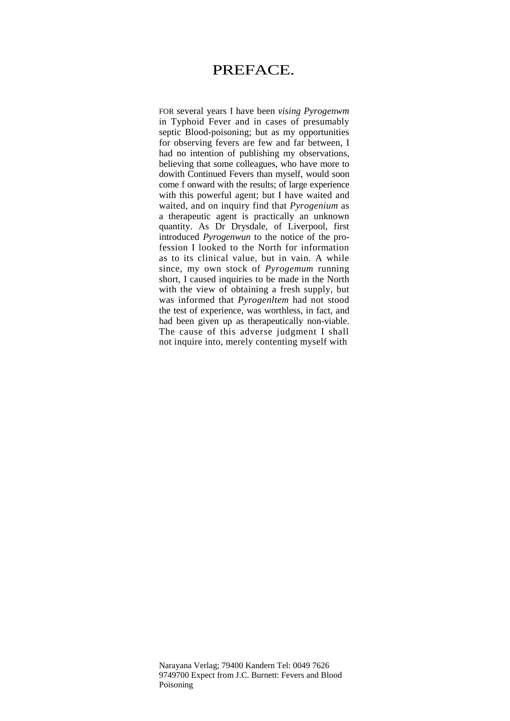## PREFACE.

FOR several years I have been *vising Pyrogenwm*  in Typhoid Fever and in cases of presumably septic Blood-poisoning; but as my opportunities for observing fevers are few and far between, I had no intention of publishing my observations, believing that some colleagues, who have more to dowith Continued Fevers than myself, would soon come f onward with the results; of large experience with this powerful agent; but I have waited and waited, and on inquiry find that *Pyrogenium* as a therapeutic agent is practically an unknown quantity. As Dr Drysdale, of Liverpool, first introduced *Pyrogenwun* to the notice of the profession I looked to the North for information as to its clinical value, but in vain. A while since, my own stock of *Pyrogemum* running short, I caused inquiries to be made in the North with the view of obtaining a fresh supply, but was informed that *Pyrogenltem* had not stood the test of experience, was worthless, in fact, and had been given up as therapeutically non-viable. The cause of this adverse judgment I shall not inquire into, merely contenting myself with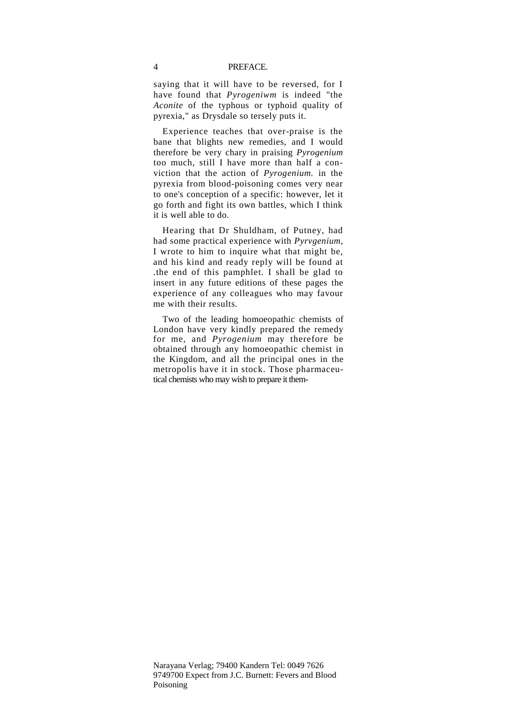saying that it will have to be reversed, for I have found that *Pyrogeniwm* is indeed "the *Aconite* of the typhous or typhoid quality of pyrexia," as Drysdale so tersely puts it.

Experience teaches that over-praise is the bane that blights new remedies, and I would therefore be very chary in praising *Pyrogenium*  too much, still I have more than half a conviction that the action of *Pyrogenium.* in the pyrexia from blood-poisoning comes very near to one's conception of a specific: however, let it go forth and fight its own battles, which I think it is well able to do.

Hearing that Dr Shuldham, of Putney, had had some practical experience with *Pyrvgenium,*  I wrote to him to inquire what that might be, and his kind and ready reply will be found at .the end of this pamphlet. I shall be glad to insert in any future editions of these pages the experience of any colleagues who may favour me with their results.

Two of the leading homoeopathic chemists of London have very kindly prepared the remedy for me, and *Pyrogenium* may therefore be obtained through any homoeopathic chemist in the Kingdom, and all the principal ones in the metropolis have it in stock. Those pharmaceutical chemists who may wish to prepare it them-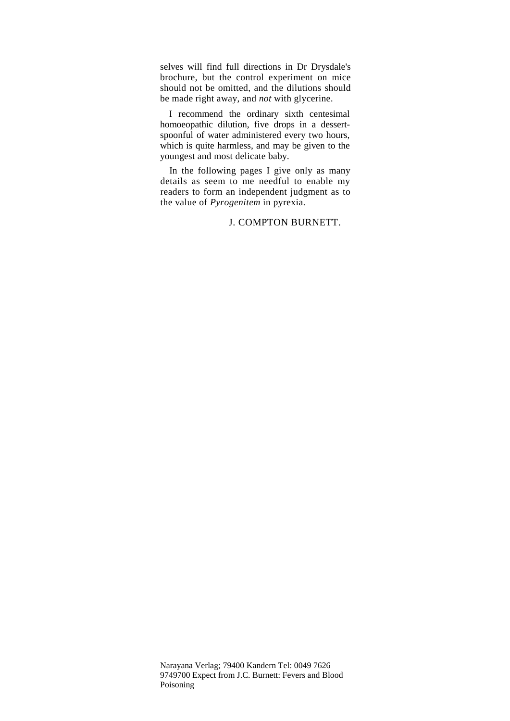selves will find full directions in Dr Drysdale's brochure, but the control experiment on mice should not be omitted, and the dilutions should be made right away, and *not* with glycerine.

I recommend the ordinary sixth centesimal homoeopathic dilution, five drops in a dessertspoonful of water administered every two hours, which is quite harmless, and may be given to the youngest and most delicate baby.

In the following pages I give only as many details as seem to me needful to enable my readers to form an independent judgment as to the value of *Pyrogenitem* in pyrexia.

## J. COMPTON BURNETT.